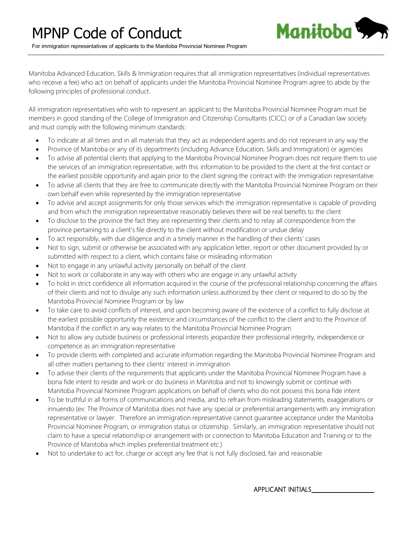

Manitoba Advanced Education, Skills & Immigration requires that all immigration representatives (individual representatives who receive a fee) who act on behalf of applicants under the Manitoba Provincial Nominee Program agree to abide by the following principles of professional conduct.

All immigration representatives who wish to represent an applicant to the Manitoba Provincial Nominee Program must be members in good standing of the College of Immigration and Citizenship Consultants (CICC) or of a Canadian law society and must comply with the following minimum standards:

- To indicate at all times and in all materials that they act as independent agents and do not represent in any way the
- Province of Manitoba or any of its departments (including Advance Education, Skills and Immigration) or agencies
- To advise all potential clients that applying to the Manitoba Provincial Nominee Program does not require them to use the services of an immigration representative, with this information to be provided to the client at the first contact or the earliest possible opportunity and again prior to the client signing the contract with the immigration representative
- To advise all clients that they are free to communicate directly with the Manitoba Provincial Nominee Program on their own behalf even while represented by the immigration representative
- To advise and accept assignments for only those services which the immigration representative is capable of providing and from which the immigration representative reasonably believes there will be real benefits to the client
- To disclose to the province the fact they are representing their clients and to relay all correspondence from the province pertaining to a client's file directly to the client without modification or undue delay
- To act responsibly, with due diligence and in a timely manner in the handling of their clients' cases
- Not to sign, submit or otherwise be associated with any application letter, report or other document provided by or submitted with respect to a client, which contains false or misleading information
- Not to engage in any unlawful activity personally on behalf of the client
- Not to work or collaborate in any way with others who are engage in any unlawful activity
- To hold in strict confidence all information acquired in the course of the professional relationship concerning the affairs of their clients and not to divulge any such information unless authorized by their client or required to do so by the Manitoba Provincial Nominee Program or by law
- To take care to avoid conflicts of interest, and upon becoming aware of the existence of a conflict to fully disclose at the earliest possible opportunity the existence and circumstances of the conflict to the client and to the Province of Manitoba if the conflict in any way relates to the Manitoba Provincial Nominee Program
- Not to allow any outside business or professional interests jeopardize their professional integrity, independence or competence as an immigration representative
- To provide clients with completed and accurate information regarding the Manitoba Provincial Nominee Program and all other matters pertaining to their clients' interest in immigration
- To advise their clients of the requirements that applicants under the Manitoba Provincial Nominee Program have a bona fide intent to reside and work or do business in Manitoba and not to knowingly submit or continue with Manitoba Provincial Nominee Program applications on behalf of clients who do not possess this bona fide intent
- To be truthful in all forms of communications and media, and to refrain from misleading statements, exaggerations or innuendo (ex: The Province of Manitoba does not have any special or preferential arrangements with any immigration representative or lawyer. Therefore an immigration representative cannot guarantee acceptance under the Manitoba Provincial Nominee Program, or immigration status or citizenship. Similarly, an immigration representative should not claim to have a special relationship or arrangement with or connection to Manitoba Education and Training or to the Province of Manitoba which implies preferential treatment etc.)
- Not to undertake to act for, charge or accept any fee that is not fully disclosed, fair and reasonable